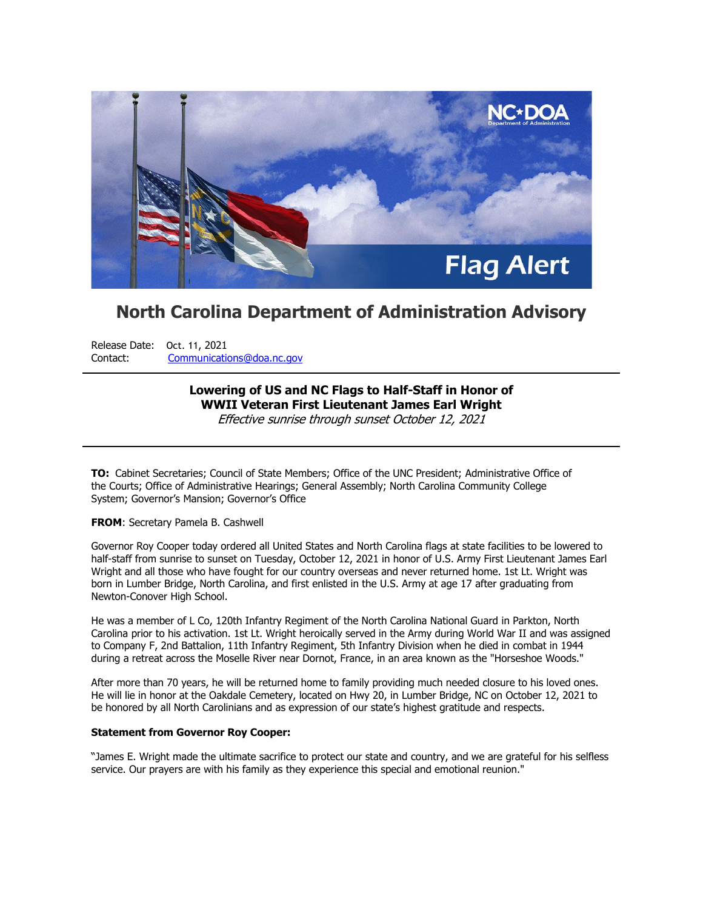

# **North Carolina Department of Administration Advisory**

Release Date: Oct. 11, 2021 Contact: [Communications@doa.nc.gov](mailto:communications.office@doa.nc.gov)

# **Lowering of US and NC Flags to Half-Staff in Honor of WWII Veteran First Lieutenant James Earl Wright** Effective sunrise through sunset October 12, 2021

**TO:** Cabinet Secretaries; Council of State Members; Office of the UNC President; Administrative Office of the Courts; Office of Administrative Hearings; General Assembly; North Carolina Community College System; Governor's Mansion; Governor's Office

#### **FROM**: Secretary Pamela B. Cashwell

Governor Roy Cooper today ordered all United States and North Carolina flags at state facilities to be lowered to half-staff from sunrise to sunset on Tuesday, October 12, 2021 in honor of U.S. Army First Lieutenant James Earl Wright and all those who have fought for our country overseas and never returned home. 1st Lt. Wright was born in Lumber Bridge, North Carolina, and first enlisted in the U.S. Army at age 17 after graduating from Newton-Conover High School.

He was a member of L Co, 120th Infantry Regiment of the North Carolina National Guard in Parkton, North Carolina prior to his activation. 1st Lt. Wright heroically served in the Army during World War II and was assigned to Company F, 2nd Battalion, 11th Infantry Regiment, 5th Infantry Division when he died in combat in 1944 during a retreat across the Moselle River near Dornot, France, in an area known as the "Horseshoe Woods."

After more than 70 years, he will be returned home to family providing much needed closure to his loved ones. He will lie in honor at the Oakdale Cemetery, located on Hwy 20, in Lumber Bridge, NC on October 12, 2021 to be honored by all North Carolinians and as expression of our state's highest gratitude and respects.

### **Statement from Governor Roy Cooper:**

"James E. Wright made the ultimate sacrifice to protect our state and country, and we are grateful for his selfless service. Our prayers are with his family as they experience this special and emotional reunion."